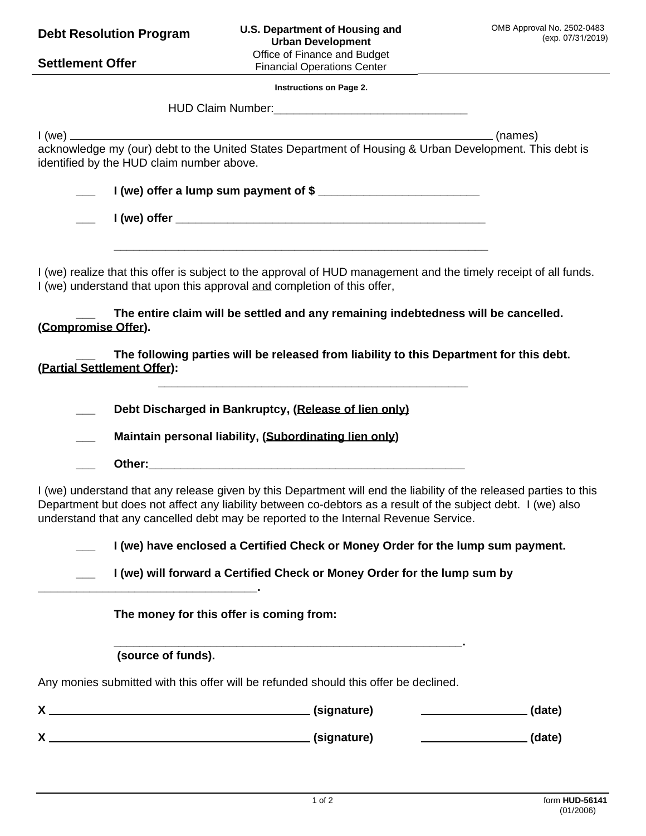| Office of Finance and Budget<br><b>Settlement Offer</b><br><b>Financial Operations Center</b><br><b>Instructions on Page 2.</b>                                                                                                                                                                                           |        |
|---------------------------------------------------------------------------------------------------------------------------------------------------------------------------------------------------------------------------------------------------------------------------------------------------------------------------|--------|
|                                                                                                                                                                                                                                                                                                                           |        |
|                                                                                                                                                                                                                                                                                                                           |        |
|                                                                                                                                                                                                                                                                                                                           |        |
|                                                                                                                                                                                                                                                                                                                           |        |
| identified by the HUD claim number above.                                                                                                                                                                                                                                                                                 |        |
| I (we) offer a lump sum payment of \$                                                                                                                                                                                                                                                                                     |        |
|                                                                                                                                                                                                                                                                                                                           |        |
| I (we) realize that this offer is subject to the approval of HUD management and the timely receipt of all funds.<br>I (we) understand that upon this approval and completion of this offer,                                                                                                                               |        |
| The entire claim will be settled and any remaining indebtedness will be cancelled.<br>(Compromise Offer).                                                                                                                                                                                                                 |        |
| The following parties will be released from liability to this Department for this debt.<br>(Partial Settlement Offer):                                                                                                                                                                                                    |        |
| Debt Discharged in Bankruptcy, (Release of lien only)                                                                                                                                                                                                                                                                     |        |
| Maintain personal liability, (Subordinating lien only)                                                                                                                                                                                                                                                                    |        |
|                                                                                                                                                                                                                                                                                                                           |        |
| I (we) understand that any release given by this Department will end the liability of the released parties to this<br>Department but does not affect any liability between co-debtors as a result of the subject debt. I (we) also<br>understand that any cancelled debt may be reported to the Internal Revenue Service. |        |
| I (we) have enclosed a Certified Check or Money Order for the lump sum payment.                                                                                                                                                                                                                                           |        |
| I (we) will forward a Certified Check or Money Order for the lump sum by                                                                                                                                                                                                                                                  |        |
| The money for this offer is coming from:                                                                                                                                                                                                                                                                                  |        |
| (source of funds).                                                                                                                                                                                                                                                                                                        |        |
| Any monies submitted with this offer will be refunded should this offer be declined.                                                                                                                                                                                                                                      |        |
|                                                                                                                                                                                                                                                                                                                           | (date) |
|                                                                                                                                                                                                                                                                                                                           |        |